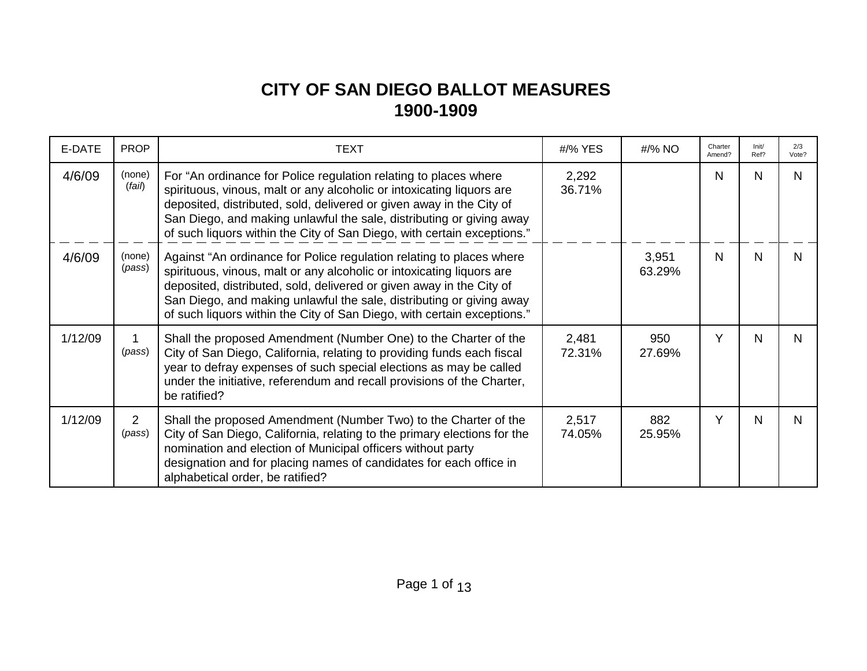## **CITY OF SAN DIEGO BALLOT MEASURES 1900-1909**

| E-DATE  | <b>PROP</b>      | <b>TEXT</b>                                                                                                                                                                                                                                                                                                                                                              | #/% YES         | #/% NO          | Charter<br>Amend? | Init/<br>Ref? | 2/3<br>Vote? |
|---------|------------------|--------------------------------------------------------------------------------------------------------------------------------------------------------------------------------------------------------------------------------------------------------------------------------------------------------------------------------------------------------------------------|-----------------|-----------------|-------------------|---------------|--------------|
| 4/6/09  | (none)<br>(fail) | For "An ordinance for Police regulation relating to places where<br>spirituous, vinous, malt or any alcoholic or intoxicating liquors are<br>deposited, distributed, sold, delivered or given away in the City of<br>San Diego, and making unlawful the sale, distributing or giving away<br>of such liquors within the City of San Diego, with certain exceptions."     | 2,292<br>36.71% |                 | N                 | N             | N            |
| 4/6/09  | (none)<br>(pass) | Against "An ordinance for Police regulation relating to places where<br>spirituous, vinous, malt or any alcoholic or intoxicating liquors are<br>deposited, distributed, sold, delivered or given away in the City of<br>San Diego, and making unlawful the sale, distributing or giving away<br>of such liquors within the City of San Diego, with certain exceptions." |                 | 3,951<br>63.29% | N                 | N             | N            |
| 1/12/09 | (pass)           | Shall the proposed Amendment (Number One) to the Charter of the<br>City of San Diego, California, relating to providing funds each fiscal<br>year to defray expenses of such special elections as may be called<br>under the initiative, referendum and recall provisions of the Charter,<br>be ratified?                                                                | 2,481<br>72.31% | 950<br>27.69%   | Υ                 | N             | N            |
| 1/12/09 | 2<br>(pass)      | Shall the proposed Amendment (Number Two) to the Charter of the<br>City of San Diego, California, relating to the primary elections for the<br>nomination and election of Municipal officers without party<br>designation and for placing names of candidates for each office in<br>alphabetical order, be ratified?                                                     | 2,517<br>74.05% | 882<br>25.95%   | Y                 | N             | N            |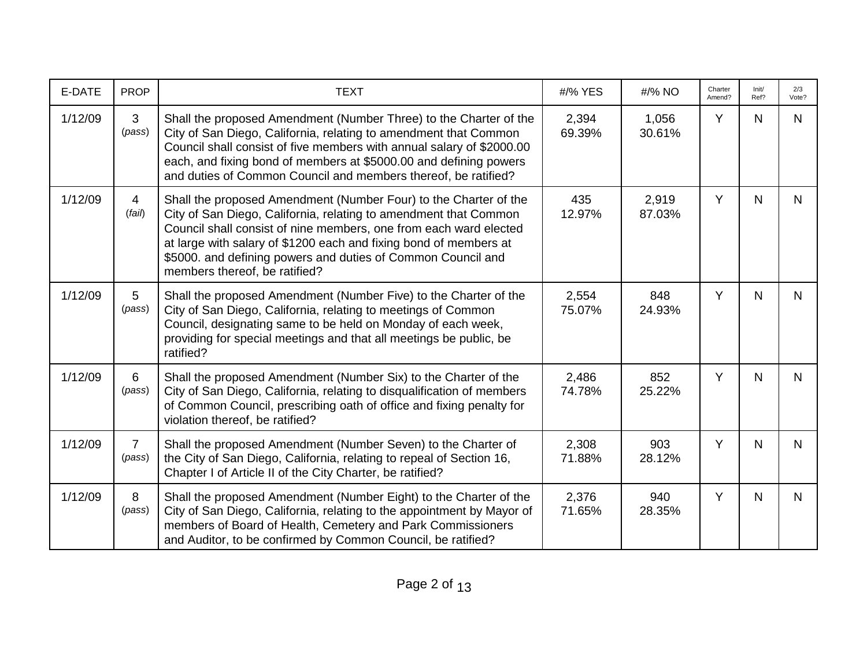| E-DATE  | <b>PROP</b>              | <b>TEXT</b>                                                                                                                                                                                                                                                                                                                                                                     | #/% YES         | #/% NO          | Charter<br>Amend? | Init/<br>Ref? | 2/3<br>Vote? |
|---------|--------------------------|---------------------------------------------------------------------------------------------------------------------------------------------------------------------------------------------------------------------------------------------------------------------------------------------------------------------------------------------------------------------------------|-----------------|-----------------|-------------------|---------------|--------------|
| 1/12/09 | 3<br>(pass)              | Shall the proposed Amendment (Number Three) to the Charter of the<br>City of San Diego, California, relating to amendment that Common<br>Council shall consist of five members with annual salary of \$2000.00<br>each, and fixing bond of members at \$5000.00 and defining powers<br>and duties of Common Council and members thereof, be ratified?                           | 2,394<br>69.39% | 1,056<br>30.61% | Y                 | $\mathsf{N}$  | N.           |
| 1/12/09 | $\overline{4}$<br>(fai)  | Shall the proposed Amendment (Number Four) to the Charter of the<br>City of San Diego, California, relating to amendment that Common<br>Council shall consist of nine members, one from each ward elected<br>at large with salary of \$1200 each and fixing bond of members at<br>\$5000. and defining powers and duties of Common Council and<br>members thereof, be ratified? | 435<br>12.97%   | 2,919<br>87.03% | Y                 | $\mathsf{N}$  | N.           |
| 1/12/09 | 5<br>(pass)              | Shall the proposed Amendment (Number Five) to the Charter of the<br>City of San Diego, California, relating to meetings of Common<br>Council, designating same to be held on Monday of each week,<br>providing for special meetings and that all meetings be public, be<br>ratified?                                                                                            | 2,554<br>75.07% | 848<br>24.93%   | Y                 | $\mathsf{N}$  | N.           |
| 1/12/09 | 6<br>(pass)              | Shall the proposed Amendment (Number Six) to the Charter of the<br>City of San Diego, California, relating to disqualification of members<br>of Common Council, prescribing oath of office and fixing penalty for<br>violation thereof, be ratified?                                                                                                                            | 2,486<br>74.78% | 852<br>25.22%   | Y                 | N             | N.           |
| 1/12/09 | $\overline{7}$<br>(pass) | Shall the proposed Amendment (Number Seven) to the Charter of<br>the City of San Diego, California, relating to repeal of Section 16,<br>Chapter I of Article II of the City Charter, be ratified?                                                                                                                                                                              | 2,308<br>71.88% | 903<br>28.12%   | Y                 | $\mathsf{N}$  | $\mathsf{N}$ |
| 1/12/09 | 8<br>(pass)              | Shall the proposed Amendment (Number Eight) to the Charter of the<br>City of San Diego, California, relating to the appointment by Mayor of<br>members of Board of Health, Cemetery and Park Commissioners<br>and Auditor, to be confirmed by Common Council, be ratified?                                                                                                      | 2,376<br>71.65% | 940<br>28.35%   | Y                 | $\mathsf{N}$  | $\mathsf{N}$ |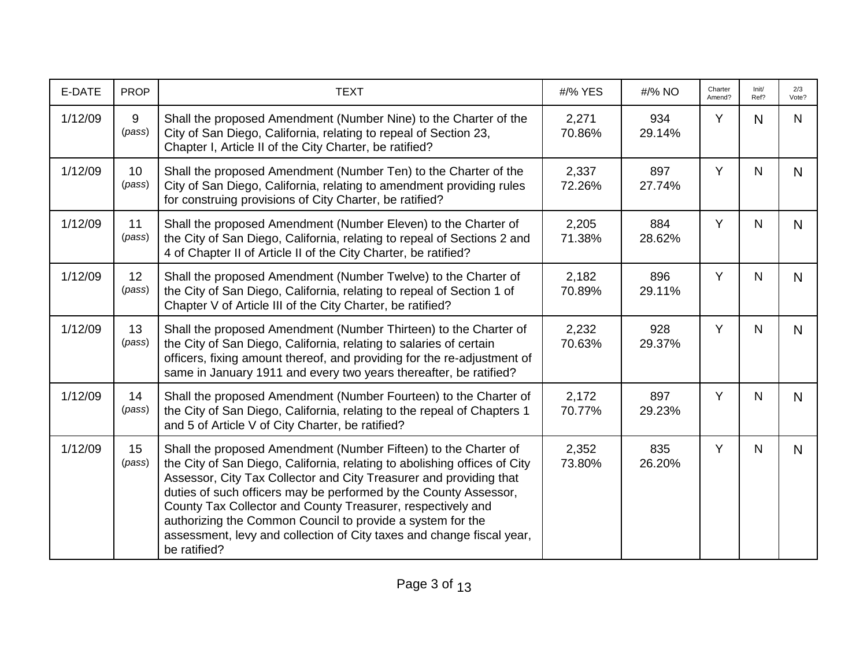| E-DATE  | <b>PROP</b>  | <b>TEXT</b>                                                                                                                                                                                                                                                                                                                                                                                                                                                                                                  | #/% YES         | #/% NO        | Charter<br>Amend? | Init/<br>Ref? | 2/3<br>Vote? |
|---------|--------------|--------------------------------------------------------------------------------------------------------------------------------------------------------------------------------------------------------------------------------------------------------------------------------------------------------------------------------------------------------------------------------------------------------------------------------------------------------------------------------------------------------------|-----------------|---------------|-------------------|---------------|--------------|
| 1/12/09 | 9<br>(pass)  | Shall the proposed Amendment (Number Nine) to the Charter of the<br>City of San Diego, California, relating to repeal of Section 23,<br>Chapter I, Article II of the City Charter, be ratified?                                                                                                                                                                                                                                                                                                              | 2,271<br>70.86% | 934<br>29.14% | Y                 | N.            | N.           |
| 1/12/09 | 10<br>(pass) | Shall the proposed Amendment (Number Ten) to the Charter of the<br>City of San Diego, California, relating to amendment providing rules<br>for construing provisions of City Charter, be ratified?                                                                                                                                                                                                                                                                                                           | 2,337<br>72.26% | 897<br>27.74% | Y                 | N             | N            |
| 1/12/09 | 11<br>(pass) | Shall the proposed Amendment (Number Eleven) to the Charter of<br>the City of San Diego, California, relating to repeal of Sections 2 and<br>4 of Chapter II of Article II of the City Charter, be ratified?                                                                                                                                                                                                                                                                                                 | 2,205<br>71.38% | 884<br>28.62% | Y                 | N.            | N            |
| 1/12/09 | 12<br>(pass) | Shall the proposed Amendment (Number Twelve) to the Charter of<br>the City of San Diego, California, relating to repeal of Section 1 of<br>Chapter V of Article III of the City Charter, be ratified?                                                                                                                                                                                                                                                                                                        | 2,182<br>70.89% | 896<br>29.11% | Y                 | $\mathsf{N}$  | $\mathsf{N}$ |
| 1/12/09 | 13<br>(pass) | Shall the proposed Amendment (Number Thirteen) to the Charter of<br>the City of San Diego, California, relating to salaries of certain<br>officers, fixing amount thereof, and providing for the re-adjustment of<br>same in January 1911 and every two years thereafter, be ratified?                                                                                                                                                                                                                       | 2,232<br>70.63% | 928<br>29.37% | Y                 | N.            | N.           |
| 1/12/09 | 14<br>(pass) | Shall the proposed Amendment (Number Fourteen) to the Charter of<br>the City of San Diego, California, relating to the repeal of Chapters 1<br>and 5 of Article V of City Charter, be ratified?                                                                                                                                                                                                                                                                                                              | 2,172<br>70.77% | 897<br>29.23% | Y                 | N             | N            |
| 1/12/09 | 15<br>(pass) | Shall the proposed Amendment (Number Fifteen) to the Charter of<br>the City of San Diego, California, relating to abolishing offices of City<br>Assessor, City Tax Collector and City Treasurer and providing that<br>duties of such officers may be performed by the County Assessor,<br>County Tax Collector and County Treasurer, respectively and<br>authorizing the Common Council to provide a system for the<br>assessment, levy and collection of City taxes and change fiscal year,<br>be ratified? | 2,352<br>73.80% | 835<br>26.20% | Y                 | N             | N            |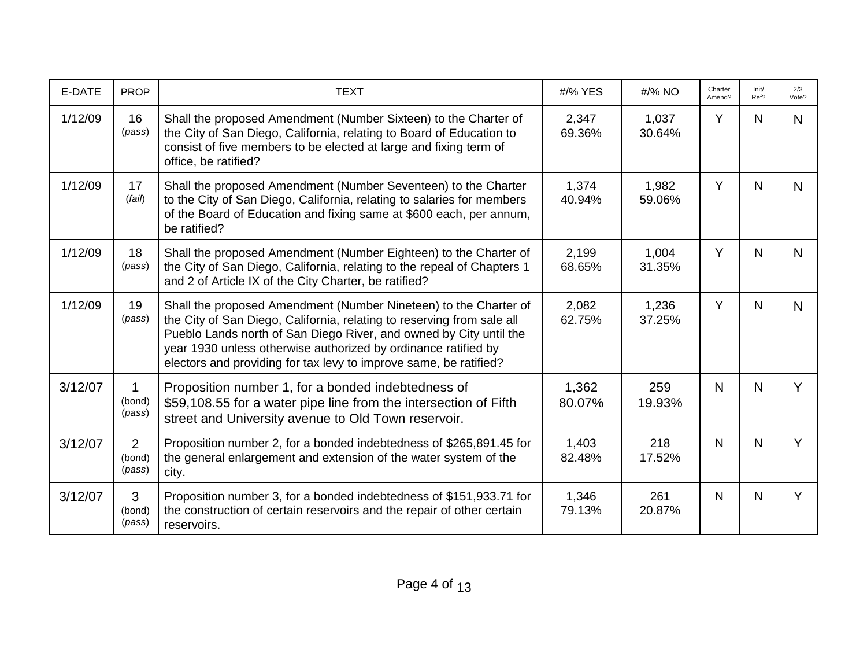| E-DATE  | <b>PROP</b>                        | <b>TEXT</b>                                                                                                                                                                                                                                                                                                                                             | #/% YES         | #/% NO          | Charter<br>Amend? | Init/<br>Ref? | 2/3<br>Vote?   |
|---------|------------------------------------|---------------------------------------------------------------------------------------------------------------------------------------------------------------------------------------------------------------------------------------------------------------------------------------------------------------------------------------------------------|-----------------|-----------------|-------------------|---------------|----------------|
| 1/12/09 | 16<br>(pass)                       | Shall the proposed Amendment (Number Sixteen) to the Charter of<br>the City of San Diego, California, relating to Board of Education to<br>consist of five members to be elected at large and fixing term of<br>office, be ratified?                                                                                                                    | 2,347<br>69.36% | 1,037<br>30.64% | Y                 | N.            | N              |
| 1/12/09 | 17<br>(fai)                        | Shall the proposed Amendment (Number Seventeen) to the Charter<br>to the City of San Diego, California, relating to salaries for members<br>of the Board of Education and fixing same at \$600 each, per annum,<br>be ratified?                                                                                                                         | 1,374<br>40.94% | 1,982<br>59.06% | Y                 | N             | $\mathsf{N}$   |
| 1/12/09 | 18<br>(pass)                       | Shall the proposed Amendment (Number Eighteen) to the Charter of<br>the City of San Diego, California, relating to the repeal of Chapters 1<br>and 2 of Article IX of the City Charter, be ratified?                                                                                                                                                    | 2,199<br>68.65% | 1,004<br>31.35% | Y                 | N             | N              |
| 1/12/09 | 19<br>(pass)                       | Shall the proposed Amendment (Number Nineteen) to the Charter of<br>the City of San Diego, California, relating to reserving from sale all<br>Pueblo Lands north of San Diego River, and owned by City until the<br>year 1930 unless otherwise authorized by ordinance ratified by<br>electors and providing for tax levy to improve same, be ratified? | 2,082<br>62.75% | 1,236<br>37.25% | Y                 | N             | N <sub>1</sub> |
| 3/12/07 | (bond)<br>(pass)                   | Proposition number 1, for a bonded indebtedness of<br>\$59,108.55 for a water pipe line from the intersection of Fifth<br>street and University avenue to Old Town reservoir.                                                                                                                                                                           | 1,362<br>80.07% | 259<br>19.93%   | N                 | N             | Y              |
| 3/12/07 | $\overline{2}$<br>(bond)<br>(pass) | Proposition number 2, for a bonded indebtedness of \$265,891.45 for<br>the general enlargement and extension of the water system of the<br>city.                                                                                                                                                                                                        | 1,403<br>82.48% | 218<br>17.52%   | N                 | N             | Y              |
| 3/12/07 | 3<br>(bond)<br>(pass)              | Proposition number 3, for a bonded indebtedness of \$151,933.71 for<br>the construction of certain reservoirs and the repair of other certain<br>reservoirs.                                                                                                                                                                                            | 1,346<br>79.13% | 261<br>20.87%   | N                 | $\mathsf{N}$  | Y              |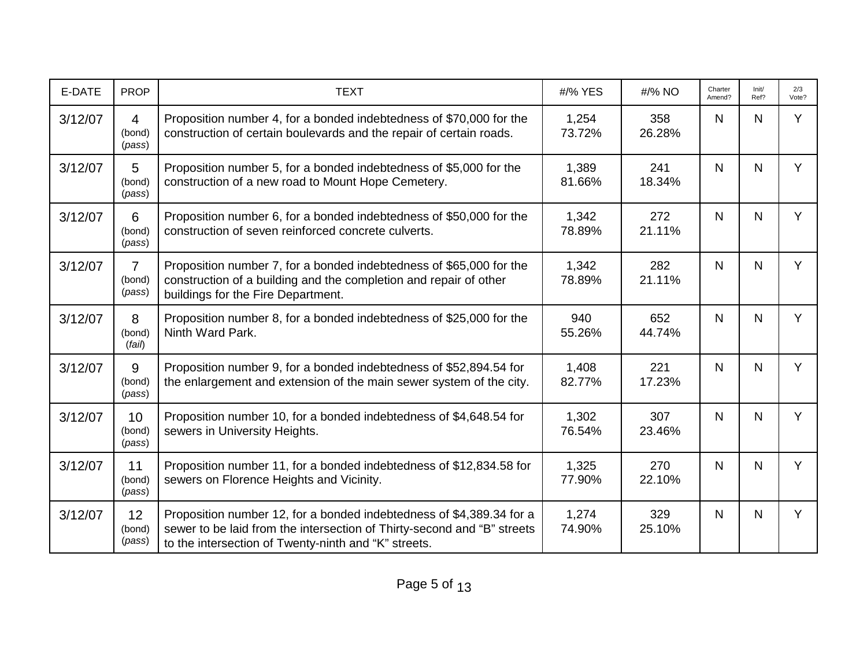| E-DATE  | <b>PROP</b>                        | <b>TEXT</b>                                                                                                                                                                                             | #/% YES         | #/% NO        | Charter<br>Amend? | Init/<br>Ref? | 2/3<br>Vote? |
|---------|------------------------------------|---------------------------------------------------------------------------------------------------------------------------------------------------------------------------------------------------------|-----------------|---------------|-------------------|---------------|--------------|
| 3/12/07 | $\overline{4}$<br>(bond)<br>(pass) | Proposition number 4, for a bonded indebtedness of \$70,000 for the<br>construction of certain boulevards and the repair of certain roads.                                                              | 1,254<br>73.72% | 358<br>26.28% | N                 | N             | Y            |
| 3/12/07 | 5<br>(bond)<br>(pass)              | Proposition number 5, for a bonded indebtedness of \$5,000 for the<br>construction of a new road to Mount Hope Cemetery.                                                                                | 1,389<br>81.66% | 241<br>18.34% | $\mathsf{N}$      | $\mathsf{N}$  | Y            |
| 3/12/07 | 6<br>(bond)<br>(pass)              | Proposition number 6, for a bonded indebtedness of \$50,000 for the<br>construction of seven reinforced concrete culverts.                                                                              | 1,342<br>78.89% | 272<br>21.11% | $\mathsf{N}$      | N             | Y            |
| 3/12/07 | $\overline{7}$<br>(bond)<br>(pass) | Proposition number 7, for a bonded indebtedness of \$65,000 for the<br>construction of a building and the completion and repair of other<br>buildings for the Fire Department.                          | 1,342<br>78.89% | 282<br>21.11% | N.                | N             | Y            |
| 3/12/07 | 8<br>(bond)<br>(fai)               | Proposition number 8, for a bonded indebtedness of \$25,000 for the<br>Ninth Ward Park.                                                                                                                 | 940<br>55.26%   | 652<br>44.74% | N                 | N             | Y            |
| 3/12/07 | 9<br>(bond)<br>(pass)              | Proposition number 9, for a bonded indebtedness of \$52,894.54 for<br>the enlargement and extension of the main sewer system of the city.                                                               | 1,408<br>82.77% | 221<br>17.23% | N                 | N             | Y            |
| 3/12/07 | 10<br>(bond)<br>(pass)             | Proposition number 10, for a bonded indebtedness of \$4,648.54 for<br>sewers in University Heights.                                                                                                     | 1,302<br>76.54% | 307<br>23.46% | $\mathsf{N}$      | $\mathsf{N}$  | Y            |
| 3/12/07 | 11<br>(bond)<br>(pass)             | Proposition number 11, for a bonded indebtedness of \$12,834.58 for<br>sewers on Florence Heights and Vicinity.                                                                                         | 1,325<br>77.90% | 270<br>22.10% | N                 | $\mathsf{N}$  | Y            |
| 3/12/07 | 12<br>(bond)<br>(pass)             | Proposition number 12, for a bonded indebtedness of \$4,389.34 for a<br>sewer to be laid from the intersection of Thirty-second and "B" streets<br>to the intersection of Twenty-ninth and "K" streets. | 1,274<br>74.90% | 329<br>25.10% | N                 | N             | Y            |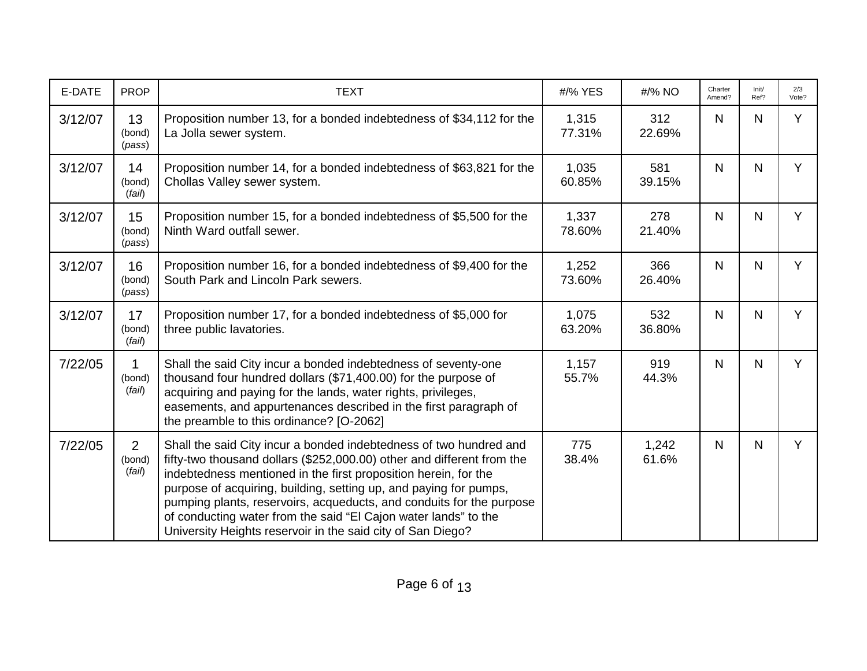| E-DATE  | <b>PROP</b>                        | <b>TEXT</b>                                                                                                                                                                                                                                                                                                                                                                                                                                                                                    | #/% YES         | #/% NO         | Charter<br>Amend? | Init/<br>Ref? | 2/3<br>Vote? |
|---------|------------------------------------|------------------------------------------------------------------------------------------------------------------------------------------------------------------------------------------------------------------------------------------------------------------------------------------------------------------------------------------------------------------------------------------------------------------------------------------------------------------------------------------------|-----------------|----------------|-------------------|---------------|--------------|
| 3/12/07 | 13<br>(bond)<br>(pass)             | Proposition number 13, for a bonded indebtedness of \$34,112 for the<br>La Jolla sewer system.                                                                                                                                                                                                                                                                                                                                                                                                 | 1,315<br>77.31% | 312<br>22.69%  | N                 | N             | Y            |
| 3/12/07 | 14<br>(bond)<br>(fail)             | Proposition number 14, for a bonded indebtedness of \$63,821 for the<br>Chollas Valley sewer system.                                                                                                                                                                                                                                                                                                                                                                                           | 1,035<br>60.85% | 581<br>39.15%  | N                 | N             | Y            |
| 3/12/07 | 15<br>(bond)<br>(pass)             | Proposition number 15, for a bonded indebtedness of \$5,500 for the<br>Ninth Ward outfall sewer.                                                                                                                                                                                                                                                                                                                                                                                               | 1,337<br>78.60% | 278<br>21.40%  | N                 | N             | Y            |
| 3/12/07 | 16<br>(bond)<br>(pass)             | Proposition number 16, for a bonded indebtedness of \$9,400 for the<br>South Park and Lincoln Park sewers.                                                                                                                                                                                                                                                                                                                                                                                     | 1,252<br>73.60% | 366<br>26.40%  | $\mathsf{N}$      | N             | Y            |
| 3/12/07 | 17<br>(bond)<br>(fail)             | Proposition number 17, for a bonded indebtedness of \$5,000 for<br>three public lavatories.                                                                                                                                                                                                                                                                                                                                                                                                    | 1,075<br>63.20% | 532<br>36.80%  | $\mathsf{N}$      | N             | Y            |
| 7/22/05 | (bond)<br>(fail)                   | Shall the said City incur a bonded indebtedness of seventy-one<br>thousand four hundred dollars (\$71,400.00) for the purpose of<br>acquiring and paying for the lands, water rights, privileges,<br>easements, and appurtenances described in the first paragraph of<br>the preamble to this ordinance? [O-2062]                                                                                                                                                                              | 1,157<br>55.7%  | 919<br>44.3%   | N                 | N             | Y            |
| 7/22/05 | $\overline{2}$<br>(bond)<br>(fail) | Shall the said City incur a bonded indebtedness of two hundred and<br>fifty-two thousand dollars (\$252,000.00) other and different from the<br>indebtedness mentioned in the first proposition herein, for the<br>purpose of acquiring, building, setting up, and paying for pumps,<br>pumping plants, reservoirs, acqueducts, and conduits for the purpose<br>of conducting water from the said "El Cajon water lands" to the<br>University Heights reservoir in the said city of San Diego? | 775<br>38.4%    | 1,242<br>61.6% | N                 | N             | Y            |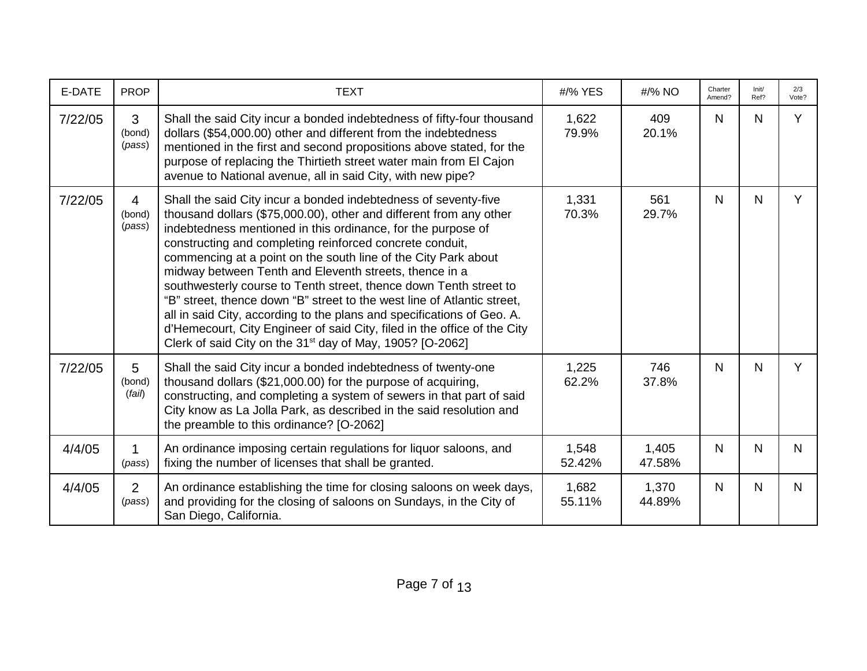| E-DATE  | <b>PROP</b>                        | <b>TEXT</b>                                                                                                                                                                                                                                                                                                                                                                                                                                                                                                                                                                                                                                                                                                                                                                  | #/% YES         | #/% NO          | Charter<br>Amend? | Init/<br>Ref? | 2/3<br>Vote? |
|---------|------------------------------------|------------------------------------------------------------------------------------------------------------------------------------------------------------------------------------------------------------------------------------------------------------------------------------------------------------------------------------------------------------------------------------------------------------------------------------------------------------------------------------------------------------------------------------------------------------------------------------------------------------------------------------------------------------------------------------------------------------------------------------------------------------------------------|-----------------|-----------------|-------------------|---------------|--------------|
| 7/22/05 | 3<br>(bond)<br>(pass)              | Shall the said City incur a bonded indebtedness of fifty-four thousand<br>dollars (\$54,000.00) other and different from the indebtedness<br>mentioned in the first and second propositions above stated, for the<br>purpose of replacing the Thirtieth street water main from El Cajon<br>avenue to National avenue, all in said City, with new pipe?                                                                                                                                                                                                                                                                                                                                                                                                                       | 1,622<br>79.9%  | 409<br>20.1%    | N.                | N             | Y            |
| 7/22/05 | $\overline{4}$<br>(bond)<br>(pass) | Shall the said City incur a bonded indebtedness of seventy-five<br>thousand dollars (\$75,000.00), other and different from any other<br>indebtedness mentioned in this ordinance, for the purpose of<br>constructing and completing reinforced concrete conduit,<br>commencing at a point on the south line of the City Park about<br>midway between Tenth and Eleventh streets, thence in a<br>southwesterly course to Tenth street, thence down Tenth street to<br>"B" street, thence down "B" street to the west line of Atlantic street,<br>all in said City, according to the plans and specifications of Geo. A.<br>d'Hemecourt, City Engineer of said City, filed in the office of the City<br>Clerk of said City on the 31 <sup>st</sup> day of May, 1905? [O-2062] | 1,331<br>70.3%  | 561<br>29.7%    | N                 | N             | Y            |
| 7/22/05 | 5<br>(bond)<br>(fai)               | Shall the said City incur a bonded indebtedness of twenty-one<br>thousand dollars (\$21,000.00) for the purpose of acquiring,<br>constructing, and completing a system of sewers in that part of said<br>City know as La Jolla Park, as described in the said resolution and<br>the preamble to this ordinance? [O-2062]                                                                                                                                                                                                                                                                                                                                                                                                                                                     | 1,225<br>62.2%  | 746<br>37.8%    | $\mathsf{N}$      | $\mathsf{N}$  | Y            |
| 4/4/05  | 1<br>(pass)                        | An ordinance imposing certain regulations for liquor saloons, and<br>fixing the number of licenses that shall be granted.                                                                                                                                                                                                                                                                                                                                                                                                                                                                                                                                                                                                                                                    | 1,548<br>52.42% | 1,405<br>47.58% | N                 | $\mathsf{N}$  | $\mathsf{N}$ |
| 4/4/05  | $\overline{2}$<br>(pass)           | An ordinance establishing the time for closing saloons on week days,<br>and providing for the closing of saloons on Sundays, in the City of<br>San Diego, California.                                                                                                                                                                                                                                                                                                                                                                                                                                                                                                                                                                                                        | 1,682<br>55.11% | 1,370<br>44.89% | N                 | N             | N.           |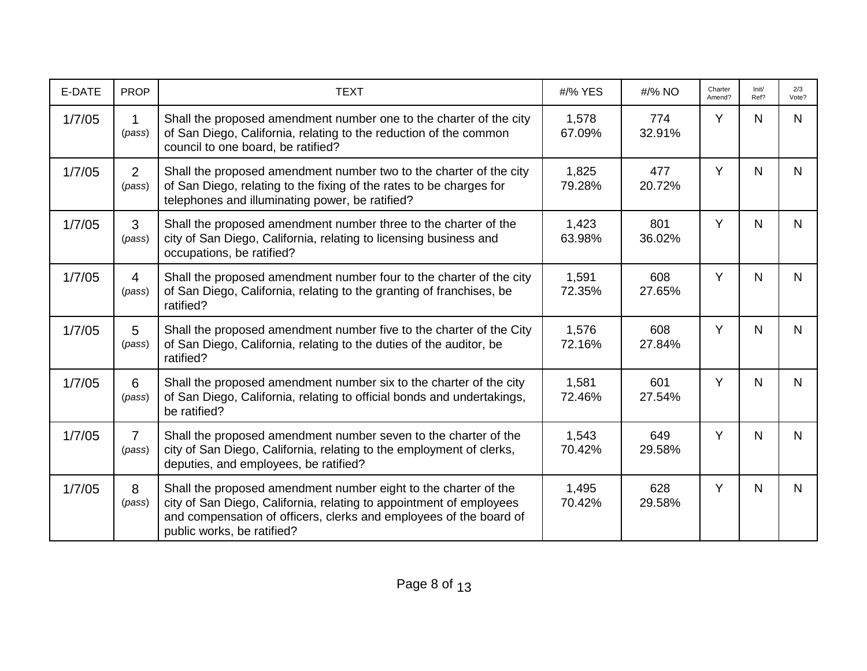| E-DATE | <b>PROP</b>              | <b>TEXT</b>                                                                                                                                                                                                                                | #/% YES         | #/% NO        | Charter<br>Amend? | Init/<br>Ref? | 2/3<br>Vote? |
|--------|--------------------------|--------------------------------------------------------------------------------------------------------------------------------------------------------------------------------------------------------------------------------------------|-----------------|---------------|-------------------|---------------|--------------|
| 1/7/05 | 1<br>(pass)              | Shall the proposed amendment number one to the charter of the city<br>of San Diego, California, relating to the reduction of the common<br>council to one board, be ratified?                                                              | 1,578<br>67.09% | 774<br>32.91% | Y                 | N.            | N            |
| 1/7/05 | $\overline{2}$<br>(pass) | Shall the proposed amendment number two to the charter of the city<br>of San Diego, relating to the fixing of the rates to be charges for<br>telephones and illuminating power, be ratified?                                               | 1,825<br>79.28% | 477<br>20.72% | Y                 | N.            | N            |
| 1/7/05 | 3<br>(pass)              | Shall the proposed amendment number three to the charter of the<br>city of San Diego, California, relating to licensing business and<br>occupations, be ratified?                                                                          | 1,423<br>63.98% | 801<br>36.02% | Y                 | N             | $\mathsf{N}$ |
| 1/7/05 | $\overline{4}$<br>(pass) | Shall the proposed amendment number four to the charter of the city<br>of San Diego, California, relating to the granting of franchises, be<br>ratified?                                                                                   | 1,591<br>72.35% | 608<br>27.65% | Y                 | N             | $\mathsf{N}$ |
| 1/7/05 | 5<br>(pass)              | Shall the proposed amendment number five to the charter of the City<br>of San Diego, California, relating to the duties of the auditor, be<br>ratified?                                                                                    | 1,576<br>72.16% | 608<br>27.84% | Y                 | N             | $\mathsf{N}$ |
| 1/7/05 | 6<br>(pass)              | Shall the proposed amendment number six to the charter of the city<br>of San Diego, California, relating to official bonds and undertakings,<br>be ratified?                                                                               | 1,581<br>72.46% | 601<br>27.54% | Y                 | N             | $\mathsf{N}$ |
| 1/7/05 | $\overline{7}$<br>(pass) | Shall the proposed amendment number seven to the charter of the<br>city of San Diego, California, relating to the employment of clerks,<br>deputies, and employees, be ratified?                                                           | 1,543<br>70.42% | 649<br>29.58% | Y                 | N             | $\mathsf{N}$ |
| 1/7/05 | 8<br>(pass)              | Shall the proposed amendment number eight to the charter of the<br>city of San Diego, California, relating to appointment of employees<br>and compensation of officers, clerks and employees of the board of<br>public works, be ratified? | 1,495<br>70.42% | 628<br>29.58% | Y                 | N.            | $\mathsf{N}$ |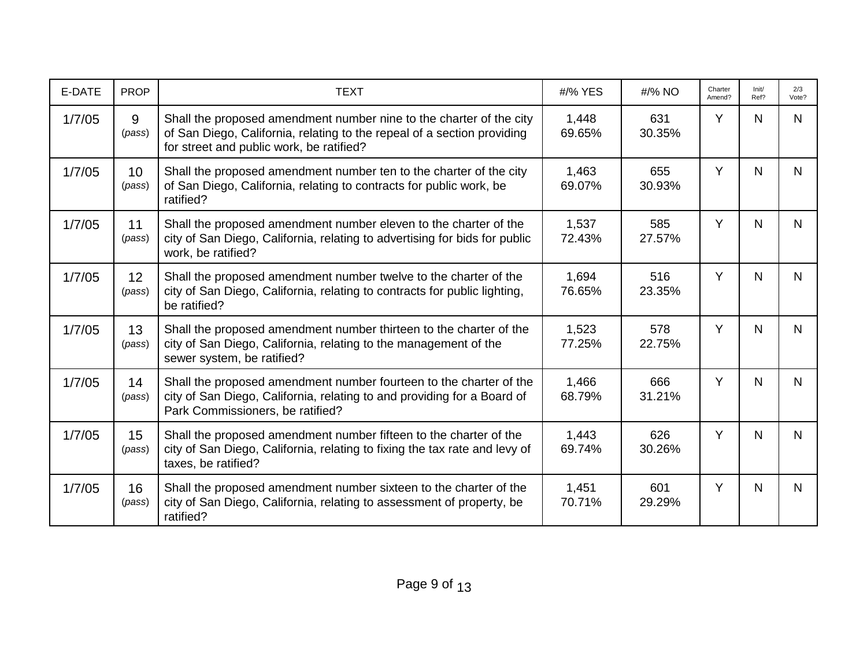| E-DATE | <b>PROP</b>  | <b>TEXT</b>                                                                                                                                                                                | #/% YES         | #/% NO        | Charter<br>Amend? | Init/<br>Ref? | 2/3<br>Vote? |
|--------|--------------|--------------------------------------------------------------------------------------------------------------------------------------------------------------------------------------------|-----------------|---------------|-------------------|---------------|--------------|
| 1/7/05 | 9<br>(pass)  | Shall the proposed amendment number nine to the charter of the city<br>of San Diego, California, relating to the repeal of a section providing<br>for street and public work, be ratified? | 1,448<br>69.65% | 631<br>30.35% | Y                 | N             | N            |
| 1/7/05 | 10<br>(pass) | Shall the proposed amendment number ten to the charter of the city<br>of San Diego, California, relating to contracts for public work, be<br>ratified?                                     | 1,463<br>69.07% | 655<br>30.93% | Y                 | N.            | N            |
| 1/7/05 | 11<br>(pass) | Shall the proposed amendment number eleven to the charter of the<br>city of San Diego, California, relating to advertising for bids for public<br>work, be ratified?                       | 1,537<br>72.43% | 585<br>27.57% | Y                 | N.            | N            |
| 1/7/05 | 12<br>(pass) | Shall the proposed amendment number twelve to the charter of the<br>city of San Diego, California, relating to contracts for public lighting,<br>be ratified?                              | 1,694<br>76.65% | 516<br>23.35% | Y                 | N.            | $\mathsf{N}$ |
| 1/7/05 | 13<br>(pass) | Shall the proposed amendment number thirteen to the charter of the<br>city of San Diego, California, relating to the management of the<br>sewer system, be ratified?                       | 1,523<br>77.25% | 578<br>22.75% | Y                 | $\mathsf{N}$  | $\mathsf{N}$ |
| 1/7/05 | 14<br>(pass) | Shall the proposed amendment number fourteen to the charter of the<br>city of San Diego, California, relating to and providing for a Board of<br>Park Commissioners, be ratified?          | 1,466<br>68.79% | 666<br>31.21% | Y                 | N             | $\mathsf{N}$ |
| 1/7/05 | 15<br>(pass) | Shall the proposed amendment number fifteen to the charter of the<br>city of San Diego, California, relating to fixing the tax rate and levy of<br>taxes, be ratified?                     | 1,443<br>69.74% | 626<br>30.26% | Y                 | N.            | N            |
| 1/7/05 | 16<br>(pass) | Shall the proposed amendment number sixteen to the charter of the<br>city of San Diego, California, relating to assessment of property, be<br>ratified?                                    | 1,451<br>70.71% | 601<br>29.29% | Y                 | N             | $\mathsf{N}$ |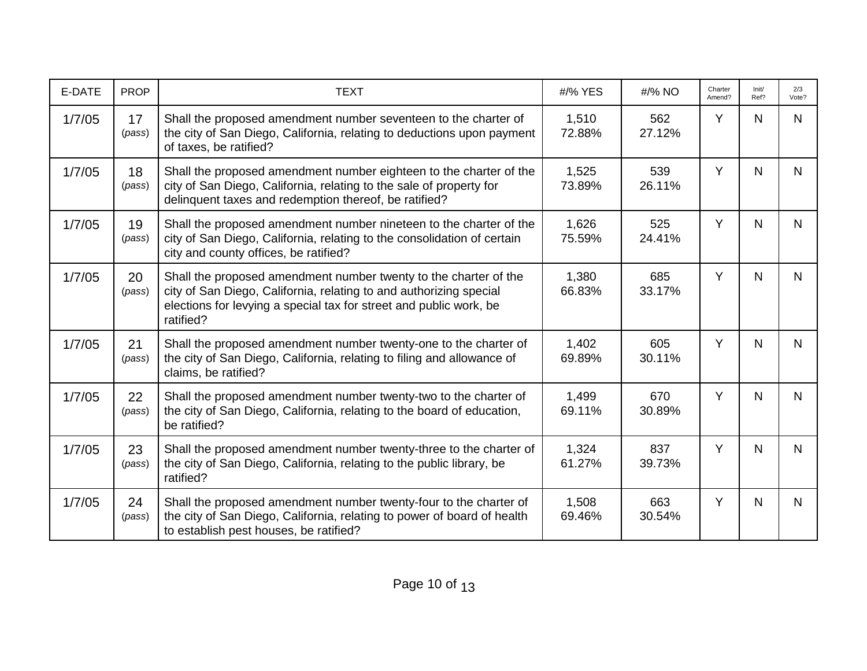| E-DATE | <b>PROP</b>  | <b>TEXT</b>                                                                                                                                                                                                               | #/% YES         | #/% NO        | Charter<br>Amend? | Init/<br>Ref? | 2/3<br>Vote? |
|--------|--------------|---------------------------------------------------------------------------------------------------------------------------------------------------------------------------------------------------------------------------|-----------------|---------------|-------------------|---------------|--------------|
| 1/7/05 | 17<br>(pass) | Shall the proposed amendment number seventeen to the charter of<br>the city of San Diego, California, relating to deductions upon payment<br>of taxes, be ratified?                                                       | 1,510<br>72.88% | 562<br>27.12% | Y                 | N.            | N            |
| 1/7/05 | 18<br>(pass) | Shall the proposed amendment number eighteen to the charter of the<br>city of San Diego, California, relating to the sale of property for<br>delinquent taxes and redemption thereof, be ratified?                        | 1,525<br>73.89% | 539<br>26.11% | Y                 | N             | $\mathsf{N}$ |
| 1/7/05 | 19<br>(pass) | Shall the proposed amendment number nineteen to the charter of the<br>city of San Diego, California, relating to the consolidation of certain<br>city and county offices, be ratified?                                    | 1,626<br>75.59% | 525<br>24.41% | Y                 | N.            | N            |
| 1/7/05 | 20<br>(pass) | Shall the proposed amendment number twenty to the charter of the<br>city of San Diego, California, relating to and authorizing special<br>elections for levying a special tax for street and public work, be<br>ratified? | 1,380<br>66.83% | 685<br>33.17% | Y                 | N             | $\mathsf{N}$ |
| 1/7/05 | 21<br>(pass) | Shall the proposed amendment number twenty-one to the charter of<br>the city of San Diego, California, relating to filing and allowance of<br>claims, be ratified?                                                        | 1,402<br>69.89% | 605<br>30.11% | Y                 | N             | $\mathsf{N}$ |
| 1/7/05 | 22<br>(pass) | Shall the proposed amendment number twenty-two to the charter of<br>the city of San Diego, California, relating to the board of education,<br>be ratified?                                                                | 1,499<br>69.11% | 670<br>30.89% | Y                 | N             | N            |
| 1/7/05 | 23<br>(pass) | Shall the proposed amendment number twenty-three to the charter of<br>the city of San Diego, California, relating to the public library, be<br>ratified?                                                                  | 1,324<br>61.27% | 837<br>39.73% | Y                 | N             | N            |
| 1/7/05 | 24<br>(pass) | Shall the proposed amendment number twenty-four to the charter of<br>the city of San Diego, California, relating to power of board of health<br>to establish pest houses, be ratified?                                    | 1,508<br>69.46% | 663<br>30.54% | Y                 | N             | $\mathsf{N}$ |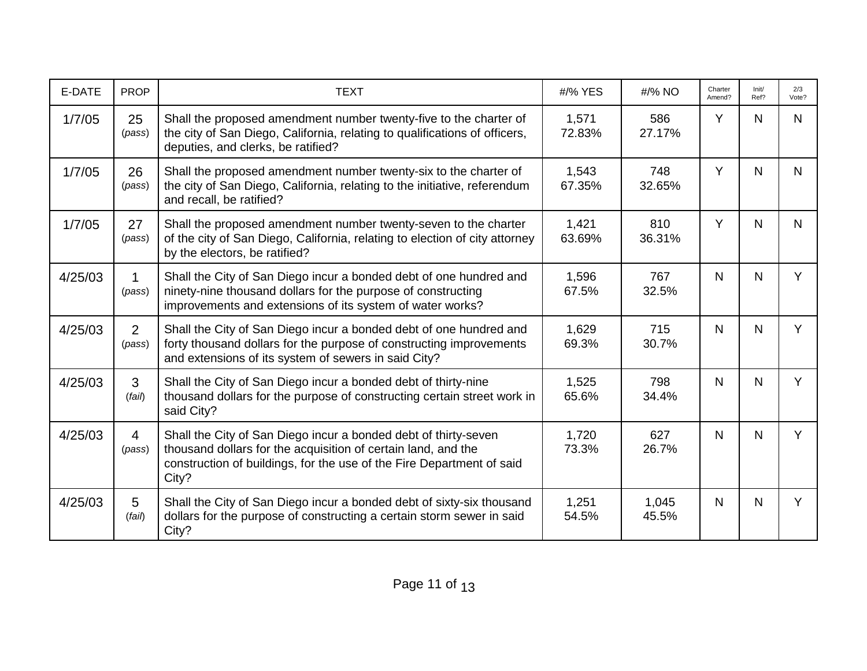| E-DATE  | <b>PROP</b>              | <b>TEXT</b>                                                                                                                                                                                                        | #/% YES         | #/% NO         | Charter<br>Amend? | Init/<br>Ref? | 2/3<br>Vote? |
|---------|--------------------------|--------------------------------------------------------------------------------------------------------------------------------------------------------------------------------------------------------------------|-----------------|----------------|-------------------|---------------|--------------|
| 1/7/05  | 25<br>(pass)             | Shall the proposed amendment number twenty-five to the charter of<br>the city of San Diego, California, relating to qualifications of officers,<br>deputies, and clerks, be ratified?                              | 1,571<br>72.83% | 586<br>27.17%  | Y                 | N.            | N            |
| 1/7/05  | 26<br>(pass)             | Shall the proposed amendment number twenty-six to the charter of<br>the city of San Diego, California, relating to the initiative, referendum<br>and recall, be ratified?                                          | 1,543<br>67.35% | 748<br>32.65%  | Y                 | N             | N            |
| 1/7/05  | 27<br>(pass)             | Shall the proposed amendment number twenty-seven to the charter<br>of the city of San Diego, California, relating to election of city attorney<br>by the electors, be ratified?                                    | 1,421<br>63.69% | 810<br>36.31%  | Y                 | N.            | N            |
| 4/25/03 | (pass)                   | Shall the City of San Diego incur a bonded debt of one hundred and<br>ninety-nine thousand dollars for the purpose of constructing<br>improvements and extensions of its system of water works?                    | 1,596<br>67.5%  | 767<br>32.5%   | N                 | N             | Y            |
| 4/25/03 | $\overline{2}$<br>(pass) | Shall the City of San Diego incur a bonded debt of one hundred and<br>forty thousand dollars for the purpose of constructing improvements<br>and extensions of its system of sewers in said City?                  | 1,629<br>69.3%  | 715<br>30.7%   | N                 | N             | Y            |
| 4/25/03 | $\mathbf{3}$<br>(fai)    | Shall the City of San Diego incur a bonded debt of thirty-nine<br>thousand dollars for the purpose of constructing certain street work in<br>said City?                                                            | 1,525<br>65.6%  | 798<br>34.4%   | N                 | N             | Y            |
| 4/25/03 | $\overline{4}$<br>(pass) | Shall the City of San Diego incur a bonded debt of thirty-seven<br>thousand dollars for the acquisition of certain land, and the<br>construction of buildings, for the use of the Fire Department of said<br>City? | 1,720<br>73.3%  | 627<br>26.7%   | N                 | N.            | Y            |
| 4/25/03 | 5<br>(fai)               | Shall the City of San Diego incur a bonded debt of sixty-six thousand<br>dollars for the purpose of constructing a certain storm sewer in said<br>City?                                                            | 1,251<br>54.5%  | 1,045<br>45.5% | N                 | N             | Y            |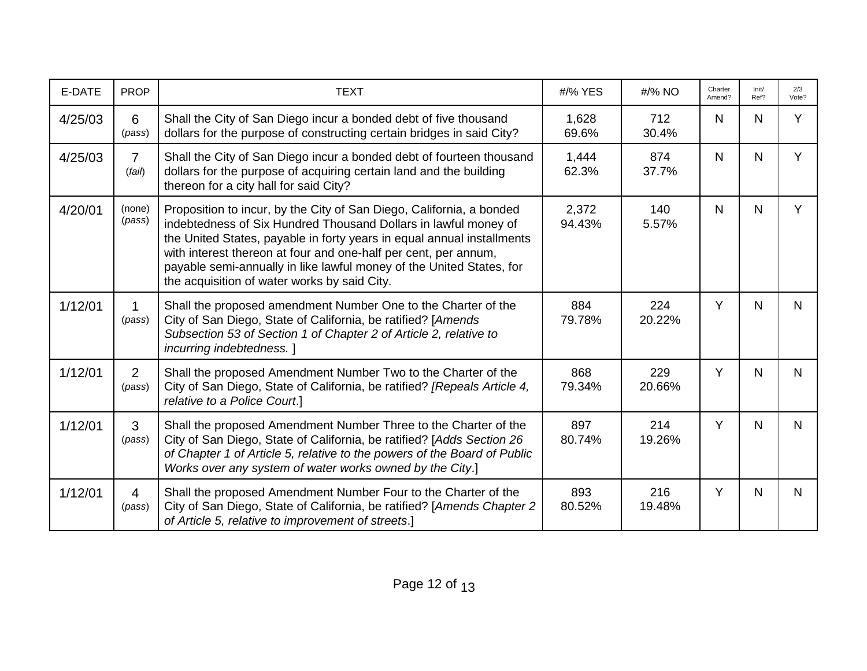| E-DATE  | <b>PROP</b>              | <b>TEXT</b>                                                                                                                                                                                                                                                                                                                                                                                                  | #/% YES         | #/% NO        | Charter<br>Amend? | Init/<br>Ref? | 2/3<br>Vote? |
|---------|--------------------------|--------------------------------------------------------------------------------------------------------------------------------------------------------------------------------------------------------------------------------------------------------------------------------------------------------------------------------------------------------------------------------------------------------------|-----------------|---------------|-------------------|---------------|--------------|
| 4/25/03 | 6<br>(pass)              | Shall the City of San Diego incur a bonded debt of five thousand<br>dollars for the purpose of constructing certain bridges in said City?                                                                                                                                                                                                                                                                    | 1,628<br>69.6%  | 712<br>30.4%  | $\mathsf{N}$      | N             | Y            |
| 4/25/03 | $\overline{7}$<br>(fai)  | Shall the City of San Diego incur a bonded debt of fourteen thousand<br>dollars for the purpose of acquiring certain land and the building<br>thereon for a city hall for said City?                                                                                                                                                                                                                         | 1,444<br>62.3%  | 874<br>37.7%  | N.                | N.            | Y            |
| 4/20/01 | (none)<br>(pass)         | Proposition to incur, by the City of San Diego, California, a bonded<br>indebtedness of Six Hundred Thousand Dollars in lawful money of<br>the United States, payable in forty years in equal annual installments<br>with interest thereon at four and one-half per cent, per annum,<br>payable semi-annually in like lawful money of the United States, for<br>the acquisition of water works by said City. | 2,372<br>94.43% | 140<br>5.57%  | N                 | N             | Y            |
| 1/12/01 | (pass)                   | Shall the proposed amendment Number One to the Charter of the<br>City of San Diego, State of California, be ratified? [Amends<br>Subsection 53 of Section 1 of Chapter 2 of Article 2, relative to<br>incurring indebtedness.]                                                                                                                                                                               | 884<br>79.78%   | 224<br>20.22% | Y                 | N             | N            |
| 1/12/01 | $\overline{2}$<br>(pass) | Shall the proposed Amendment Number Two to the Charter of the<br>City of San Diego, State of California, be ratified? [Repeals Article 4,<br>relative to a Police Court.]                                                                                                                                                                                                                                    | 868<br>79.34%   | 229<br>20.66% | Y                 | N             | N            |
| 1/12/01 | 3<br>(pass)              | Shall the proposed Amendment Number Three to the Charter of the<br>City of San Diego, State of California, be ratified? [Adds Section 26<br>of Chapter 1 of Article 5, relative to the powers of the Board of Public<br>Works over any system of water works owned by the City.]                                                                                                                             | 897<br>80.74%   | 214<br>19.26% | Y                 | N             | N            |
| 1/12/01 | $\overline{4}$<br>(pass) | Shall the proposed Amendment Number Four to the Charter of the<br>City of San Diego, State of California, be ratified? [Amends Chapter 2<br>of Article 5, relative to improvement of streets.]                                                                                                                                                                                                               | 893<br>80.52%   | 216<br>19.48% | Y                 | N             | N            |